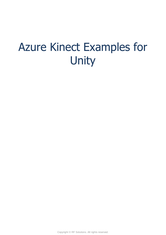# Azure Kinect Examples for Unity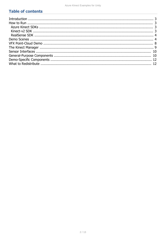# **Table of contents**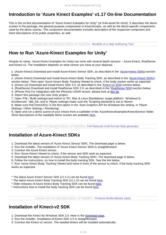# <span id="page-2-0"></span>**Introduction to 'Azure Kinect Examples' v1.17 On-line Documentation**

This is the on-line documentation of "Azure Kinect Examples for Unity" (or K4A-asset for short). It describes the demo scenes in the package, the general-purpose components in KinectScripts, as well as the demo-specific components, used by the demo scenes. The component documentation includes description of the respective component and short descriptions of its public properties, as well.

*Created with the Standard Edition of HelpNDoc: [Benefits of a Help Authoring Tool](https://www.helpauthoringsoftware.com)*

#### <span id="page-2-1"></span>**How to Run 'Azure-Kinect Examples for Unity'**

Despite its name, 'Azure-Kinect Examples for Unity can work with several depth sensors - Azure-Kinect, RealSense and Kinect-v2. The installation depends on what sensor you have at your disposal.

1. (Azure Kinect) Download and install Azure-Kinect Sensor SDK, as described in the '[Azure-Kinect SDKs](#page-2-2) -section below.

2. (Azure Kinect) Download and install Azure-Kinect Body Tracking SDK, as described in the ['Azure-Kinect SDKs](#page-2-2) section below. Then open 'Azure Kinect Body Tracking Viewer to check, if the body tracker works as expected.

3. (Kinect-v2) Download and install Kinect SDK 2.0, as described in the '[Kinect-v2 SDK](#page-2-3) -section below.

4. (RealSense) Download and install RealSense SDK 2.0, as described in the '[RealSense SDK](#page-3-0) -section below.

5. (iPhone Pro) For integration with the iPhone's LiDAR sensor, please look at [this tip](https://rfilkov.com/2019/08/26/azure-kinect-tips-tricks/#t18).

6. Import this package into new Unity project.

7. Open 'File / Build settings and switch to 'PC, Mac & Linux Standalone, target platform: 'Windows' & Architecture: 'x86\_64 , and in 'Player settings' make sure the 'Scripting backend' is set to 'Mono'.

8. Make sure that Direct3D11 is the first option in the 'Auto Graphics API for Windows -list setting, in 'Player

Settings / Other Settings / Rendering.

9. Open and run a demo scene of your choice from a subfolder of the 'AzureKinectExamples/KinectDemos'-folder. Short descriptions of the available demo scenes are available [here.](#page-3-1)

*Created with the Standard Edition of HelpNDoc: [Full-featured multi-format Help generator](https://www.helpndoc.com/help-authoring-tool)*

### <span id="page-2-2"></span>**Installation of Azure-Kinect SDKs**

- 1. Download the latest version of 'Azure Kinect Sensor SDK. The download page is below.
- 2. Run the installer. The installation of 'Azure Kinect Sensor SDK' is straightforward.
- 3. Connect the Azure Kinect sensor.
- 4. Run 'Azure Kinect Viewer' to check, if the sensor and SDK work as expected.
- 5. Download the latest version of 'Azure Kinect Body Tracking SDK. The download page is below.
- 6. Follow the instructions, on how to install the body tracking SDK. See the link below.

7. Run 'Azure Kinect Body Tracking Viewer' and move in front of the sensor to check, if the body tracking SDK works as expected.

- \* The latest Azure Kinect Sensor SDK (v1.4.1) can be found [here](https://download.microsoft.com/download/3/d/6/3d6d9e99-a251-4cf3-8c6a-8e108e960b4b/Azure Kinect SDK 1.4.1.exe).
- \* The latest Azure Kinect Body Tracking SDK (v1.1.2) can be found [here.](https://www.microsoft.com/en-us/download/details.aspx?id=104221)
- \* Older releases of Azure Kinect Body Tracking SDK can be found [here](https://docs.microsoft.com/en-us/azure/Kinect-dk/body-sdk-download).

\* Instructions how to install the body tracking SDK can be found [here.](https://docs.microsoft.com/en-us/azure/Kinect-dk/body-sdk-setup)

*Created with the Standard Edition of HelpNDoc: [Produce Kindle eBooks easily](https://www.helpndoc.com/feature-tour/create-ebooks-for-amazon-kindle)*

### <span id="page-2-3"></span>**Installation of Kinect-v2 SDK**

- 1. Download the Kinect for Windows SDK 2.0. Here is the [download page](http://www.microsoft.com/en-us/download/details.aspx?id=44561).
- 2. Run the installer. Installation of Kinect SDK 2.0 is straightforward.
- 3. Connect the Kinect-v2 sensor. The needed drivers will be installed automatically.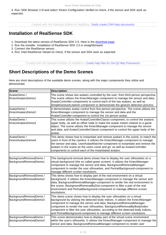4. Run 'SDK Browser 2.0' and select 'Kinect Configuration Verifier to check, if the sensor and SDK work as expected.

*Created with the Standard Edition of HelpNDoc: [Easily create CHM Help documents](https://www.helpndoc.com/feature-tour)*

#### <span id="page-3-0"></span>**Installation of RealSense SDK**

- 1. Download the latest version of RealSense SDK 2.0. Here is the [download page.](https://github.com/IntelRealSense/librealsense/releases)
- 2. Run the installer. Installation of RealSense SDK 2.0 is straightforward.
- 3. Connect the RealSense sensor.
- 4. Run 'Intel RealSense Viewer to check, if the sensor and SDK work as expected.

*Created with the Standard Edition of HelpNDoc: [Create help files for the Qt Help Framework](https://www.helpndoc.com/feature-tour/create-help-files-for-the-qt-help-framework)*

### <span id="page-3-1"></span>**Short Descriptions of the Demo Scenes**

Here are short descriptions of the available demo scenes, along with the major components they utilize and demonstrate.

| Scene:                                            | <b>Description:</b>                                                                                                                                                                                                                                                                                                                                                                                                                                                           |
|---------------------------------------------------|-------------------------------------------------------------------------------------------------------------------------------------------------------------------------------------------------------------------------------------------------------------------------------------------------------------------------------------------------------------------------------------------------------------------------------------------------------------------------------|
| AvatarDemo /<br>KinectAvatarsDemo1                | The scene shows two avatars controlled by the user, from third person perspective.<br>The scene utilizes the KinectManager-component to manage the sensor and data,<br>AvatarController-components to control each of the two avatars, as well as<br>SimpleGestureListener-component to demonstrate the gesture detection process.                                                                                                                                            |
| AvatarDemo /<br>KinectAvatarsDemo2                | It demonstrates avatar control from first-person perspective. The scene utilizes the<br>KinectManager-component to manage the sensor and data and the<br>AvatarController-component to control the 1st person avatar.                                                                                                                                                                                                                                                         |
| AvatarDemo /<br>KinectAvatarsDemo3                | This scene utilizes the AvatarControllerClassic-component, to control the avatar s<br>upper body, as well as offset node to make the avatar motion relative to a game<br>object. The scene utilizes the KinectManager-component to manage the sensor<br>and data, and AvatarControllerClassic-component to control the upper body of the<br>avatar.                                                                                                                           |
| AvatarDemo /<br>KinectAvatarsDemo4                | This demo shows how to instantiate and remove avatars in the scene, to match the<br>users in front of the camera. It utilizes the KinectManager-component to manage<br>the sensor and data, UserAvatarMatcher-component to instantiate and remove the<br>avatars in the scene as the users come and go, as well as AvatarController-<br>components to control each of the instantiated avatars.                                                                               |
|                                                   |                                                                                                                                                                                                                                                                                                                                                                                                                                                                               |
| BackgroundRemovalDemo /<br>BackgroundRemovalDemo1 | This background-removal demo shows how to display the user silhouettes on a<br>virtual background (the so called green screen). It utilizes the KinectManager-<br>component to manage the sensor and data, BackgroundRemovalManager-<br>component to render the user silhouettes, and PortraitBackground-component to<br>manage different screen resolutions.                                                                                                                 |
| BackgroundRemovalDemo /<br>BackgroundRemovalDemo2 | This demo shows how to display part of the real environment on a virtual<br>background. It utilizes the KinectManager-component to manage the sensor and<br>data, BackgroundRemovalManager-component to render the real environment in<br>the scene, BackgroundRemovalByDist-component to filter a part of the real<br>environment and PortraitBackground-component to manage different screen<br>resolutions.                                                                |
| BackgroundRemovalDemo /<br>BackgroundRemovalDemo3 | This demo scene shows how to display the user silhouettes on a virtual<br>background by utilizing the detected body indices. It utilizes the KinectManager-<br>component to manage the sensor and data, BackgroundRemovalManager-<br>component to render the user silhouettes, BackgroundRemovalByBodyIndex-<br>component to filter the user silhouettes, according to the detected body indices,<br>and PortraitBackground-component to manage different screen resolutions. |
| BackgroundRemovalDemo /<br>BackgroundRemovalDemo4 | This scene demonstrates how to display part of the virtual scene environment<br>within the user's silhouette. It utilizes the KinectManager-component to manage the<br>sensor and data, BackgroundRemovalManager-component to render user                                                                                                                                                                                                                                     |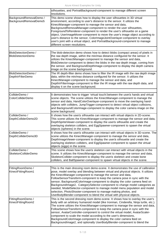|                                                   | silhouettes, and PortraitBackground-component to manage different screen<br>resolutions.                                                                                                                                                                                                                                                                                                                                                                                                                                                                                                                                                                                                              |
|---------------------------------------------------|-------------------------------------------------------------------------------------------------------------------------------------------------------------------------------------------------------------------------------------------------------------------------------------------------------------------------------------------------------------------------------------------------------------------------------------------------------------------------------------------------------------------------------------------------------------------------------------------------------------------------------------------------------------------------------------------------------|
| BackgroundRemovalDemo /<br>BackgroundRemovalDemo5 | This demo scene shows how to display the user silhouettes in 3D virtual<br>environment, according to user's distance to the sensor. It utilizes the<br>KinectManager-component to manage the sensor and data,<br>BackgroundRemovalManager-component to render the user silhouettes,<br>Foreground To Renderer-component to render the user's silhouette on a game<br>object, UserImageMover-component to move the user's image object according to<br>user's distance to the sensor, ColorImageJointOverlayer-component to overlay<br>user's joint with a virtual object, and PortraitBackground-component to manage<br>different screen resolutions.                                                 |
|                                                   |                                                                                                                                                                                                                                                                                                                                                                                                                                                                                                                                                                                                                                                                                                       |
| BlobDetectionDemo /<br><b>BlobDetectionDemo</b>   | The blob-detection demo shows how to detect blobs (compact areas) of pixels in<br>the raw depth image, within the min/max distance configured for the sensor. It<br>utilizes the KinectManager-component to manage the sensor and data,<br>BlobDetector-component to detect the blobs in the raw depth image, coming from<br>the sensor, and BackgroundDepthImage-component to display the depth camera<br>image on the scene background.                                                                                                                                                                                                                                                             |
| BlobDetectionDemo /<br>DepthIrFilterDemo          | The IR depth-filter demo shows how to filter the IR image with the raw depth image<br>data, within the min/max distance configured for the sensor. It utilizes the<br>KinectManager-component to manage the sensor and data, and<br>DepthIrFilterImage-component to filter the IR image with the raw depth data, and<br>display it on the scene background.                                                                                                                                                                                                                                                                                                                                           |
| ColliderDemo /<br><b>ColorColliderDemo</b>        | It demonstrates how to trigger 'virtual touch between the user s hands and virtual<br>scene objects. The scene utilizes the KinectManager-component to manage the<br>sensor and data, HandColorOverlayer-component to move the overlaying hand-<br>objects with colliders, JumpTrigger-component to detect virtual object collisions,<br>and BackgroundColorImage-component to display the color camera image on the<br>scene background.                                                                                                                                                                                                                                                             |
| ColliderDemo /<br>DepthColliderDemo2D             | It shows how the user s silhouette can interact with virtual objects in 2D-scene.<br>This scene utilizes the KinectManager-component to manage the sensor and data,<br>DepthSpriteViewer-component to display the user s silhouette and create the<br>overlaying skeleton colliders, and EggSpawner-component to spawn the virtual<br>objects (spheres) in the scene.                                                                                                                                                                                                                                                                                                                                 |
| ColliderDemo /<br>DepthColliderDemo3D             | It shows how the user s silhouette can interact with virtual objects in 3D-scene. The<br>scene utilizes the KinectManager-component to manage the sensor and data,<br>DepthImageViewer-component to display the user s silhouette and create the<br>overlaying skeleton colliders, and EggSpawner-component to spawn the virtual<br>objects (eggs) in the scene.                                                                                                                                                                                                                                                                                                                                      |
| ColliderDemo /<br>SkeletonColliderDemo            | This scene shows how the user s skeleton can interact with virtual objects in the<br>scene. It utilizes the KinectManager-component to manage the sensor and data,<br>SkeletonCollider-component to display the user s skeleton and create bone<br>colliders, and BallSpawner-component to spawn virtual objects in the scene.                                                                                                                                                                                                                                                                                                                                                                        |
| FittingRoomDemo /<br>KinectFittingRoom1           | This is the main dressing room demo-scene. It demonstrates the use of calibration<br>pose, model overlay and blending between virtual and physical objects. It utilizes<br>the KinectManager-component to manage the sensor and data,<br>FollowSensorTransform-component to keep the camera pose in sync with the<br>sensor, BackgroundColorImage-component to display the color camera feed on<br>BackgroundImage2, CategorySelector-component to change model categories as<br>needed, ModelSelector-component to manage model menu population and model<br>selection, PhotoShooter-component to manage making photos, and<br>UserBodyBlender-component to blend the virtual with physical objects. |
| FittingRoomDemo /<br>KinectFittingRoom2           | This is the second dressing room demo-scene. It shows how to overlay the user's<br>body with an arbitrary humanoid model (like Ironman, Cinderella, Ninja turtle, etc.).<br>The scene utilizes the KinectManager-component to manage the sensor and data,<br>FollowSensorTransform-component to keep the camera pose in sync with the<br>sensor, AvatarController-component to control the virtual model, AvatarScaler-<br>component to scale the model according to the user's dimensions,<br>BackgroundColorImage-component to display the color camera feed on<br>BackgroundImage2, and optionally UserBodyBlender-component to blend the                                                          |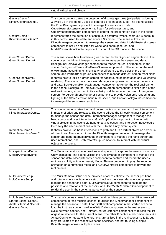|                                                                                            | virtual with physical objects.                                                                                                                                                                                                                                                                                                                                                                                                                                                                                                                                                                                                                                                                                                  |
|--------------------------------------------------------------------------------------------|---------------------------------------------------------------------------------------------------------------------------------------------------------------------------------------------------------------------------------------------------------------------------------------------------------------------------------------------------------------------------------------------------------------------------------------------------------------------------------------------------------------------------------------------------------------------------------------------------------------------------------------------------------------------------------------------------------------------------------|
| GestureDemo /<br>KinectGesturesDemo1                                                       | This scene demonstrates the detection of discrete gestures (swipe-left, swipe-right<br>& swipe up in this demo), used to control a presentation cube. The scene utilizes<br>the KinectManager-component to manage the sensor and data,<br>CubeGestureListener-component to listen for swipe-gestures, and<br>CubePresentationScript-component to control the presentation cube in the scene.                                                                                                                                                                                                                                                                                                                                    |
| GestureDemo /<br>KinectGesturesDemo2                                                       | It demonstrates the detection of continuous gestures (wheel, zoom-out & zoom-in<br>in this demo), used to rotate and zoom a 3D model. The scene utilizes the<br>KinectManager-component to manage the sensor and data, ModelGestureListener-<br>component to set up and listen for wheel and zoom gestures, and<br>ModelPresentationScript-component to control the 3D model in the scene.                                                                                                                                                                                                                                                                                                                                      |
| GreenScreenDemo /<br>GreenScreenDemo1                                                      | The scene shows how to utilize a green screen for background segmentation. The<br>scene uses the KinectManager-component to manage the sensor and data,<br>BackgroundRemovalManager-component to render the real environment in the<br>scene, BackgroundRemovalByGreenScreen-component to filter a part of the real<br>environment, according to its similarity or difference to the color of the green<br>screen, and PortraitBackground-component to manage different screen resolutions.                                                                                                                                                                                                                                     |
| GreenScreenDemo /<br>GreenScreenDemo2                                                      | It shows how to utilize a green screen for background segmentation and volumetric<br>rendering. The scene uses the KinectManager-component to manage the sensor<br>and data, BackgroundRemovalManager-component to render the real environment<br>in the scene, BackgroundRemovalByGreenScreen-component to filter a part of the<br>real environment, according to its similarity or difference to the color of the green<br>screen, ForegroundBlendRenderer-component to provide volumetric rendering and<br>lighting of the filtered environment in the scene, and PortraitBackground-component<br>to manage different screen resolutions.                                                                                    |
| InteractionDemo /<br>KinectInteractionDemo1                                                | This scene demonstrates the hand cursor control on screen and hand interactions,<br>in means of grips and releases. The scene utilizes the KinectManager-component<br>to manage the sensor and data, InteractionManager-component to manage the<br>hand cursor and user interactions, GrabDropScript-component to interact with<br>virtual objects in the scene via hand grips & releases, and InteractionInputModule<br>to convey the user interactions with the UI to the Unity event system.                                                                                                                                                                                                                                 |
| /InteractionDemo  <br>KinectInteractionDemo2                                               | It shows how to use hand interactions to grab and turn a virtual object on screen in<br>all directions. The scene utilizes the KinectManager-component to manage the<br>sensor and data, InteractionManager-component to manage the hand cursor and<br>user interactions, and GrabRotateScript-component to interact with the virtual<br>object in the scene.                                                                                                                                                                                                                                                                                                                                                                   |
| MocapAnimatorDemo /<br>MocapAnimatorDemo                                                   | The Mocap-animator scene provides a simple tool to capture the user's motion as<br>Unity animation. The scene utilizes the KinectManager-component to manage the<br>sensor and data, MocapRecorder-component to capture and record the user's<br>motions as Unity animation asset, MocapPlayer-component to play the recorded<br>animation on a humanoid model and AvatarController-component to provide the<br>motion data.                                                                                                                                                                                                                                                                                                    |
| MultiCameraSetup /<br>MultiCameraSetup                                                     | The Multi-Camera-Setup scene provides a tool to estimate the sensor positions<br>and rotations in a multi-camera setup. It utilizes the KinectManager-component to<br>manage the sensor and data, MultiCameraSetup-component to estimate the<br>positions and rotations of the sensors, and UserMeshRendererGpu-component to<br>render the user in the scene, as perceived by the sensors.                                                                                                                                                                                                                                                                                                                                      |
| MultiSceneDemo / Scene0-<br>StartupScene, Scene1-<br>AvatarsDemo & Scene2-<br>GesturesDemo | This set of scenes shows how to use the KinectManager and other Kinect-related<br>components across multiple scenes. It utilizes the KinectManager-component to<br>manage the sensor and data, LoadFirstLevel-component in the startup scene to<br>load the first real scene, LoadLevelWithDelay-component in the real scenes to<br>cycle between scenes, and RefreshGestureListeners-component to refresh the list<br>of gesture listeners for the current scene. The other Kinect-related components like<br>AvatarController, gesture listeners, etc. are utilized in the real scenes (1 & 2), but<br>they are related to the respective scene specifics, and not to using a single<br>KinectManager across multiple scenes. |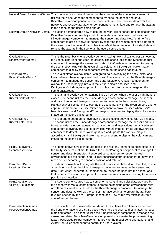|                                              | NetworkDemo / KinectNetServer This scene acts as network server for the streams of the connected sensor. It<br>utilizes the KinectManager-component to manage the sensor and data,<br>KinectNetServer-component to listen for clients and send sensor data over the<br>network, and UserAvatarMatcher-component to instantiate and remove the avatars<br>in the scene as the users come and go.                                                                                                                                       |
|----------------------------------------------|---------------------------------------------------------------------------------------------------------------------------------------------------------------------------------------------------------------------------------------------------------------------------------------------------------------------------------------------------------------------------------------------------------------------------------------------------------------------------------------------------------------------------------------|
|                                              | NetworkDemo / NetClientDemo1 This scene demonstrates how to use the network-client sensor (in combination with<br>KinectNetServer), to remotely control the avatars in the scene. It utilizes the<br>KinectManager-component to manage the sensor and data, NetClientInterface-<br>component to act as "network" sensor by receiving the remote sensor's data from<br>the server over the network, and UserAvatarMatcher-component to instantiate and<br>remove the avatars in the scene as the users come and go.                    |
|                                              |                                                                                                                                                                                                                                                                                                                                                                                                                                                                                                                                       |
| OverlayDemo /<br>KinectOverlayDemo1          | This is the most basic joint-overlay demo, showing how a virtual object can overlay<br>the user s joint (right shoulder) on screen. The scene utilizes the KinectManager-<br>component to manage the sensor and data, JointOverlayer-component to overlay<br>the user s body joint with the given virtual object, and BackgroundColorImage-<br>component to display the color camera image on the scene background.                                                                                                                   |
| OverlayDemo /<br>KinectOverlayDemo2          | This is a skeleton overlay demo, with green balls overlaying the body joints, and<br>lines between them to represent the bones. The scene utilizes the KinectManager-<br>component to manage the sensor and data, SkeletonOverlayer-component to<br>overlay the user s body joints with the virtual objects and lines, and<br>BackgroundColorImage-component to display the color camera image on the<br>scene background.                                                                                                            |
| OverlayDemo /<br>KinectOverlayDemo3          | This is a hand overlay demo, painting lines on screen when the user's right hand is<br>closed. The scene utilizes the KinectManager-component to manage the sensor<br>and data, InteractionManager-component to manage the hand interactions,<br>HandOverlayer-component to overlay the user s hand with the given cursors and to<br>capture the hand events, LinePainter-component to draw the lines when user's<br>hand is closed, and BackgroundColorImage-component to display the color camera<br>image on the scene background. |
| OverlayDemo /<br>KinectPhotoBooth            | This is a photo booth demo, overlaying specific user's body joints with 2d images.<br>The scene utilizes the KinectManager-component to manage the sensor and data,<br>InteractionManager-component to manage the hand interactions, JointOverlayer-<br>component to overlay the user s body joint with 2d images, PhotoBoothController-<br>component to detect user's swipe gestures and update the overlay images<br>accordingly, and BackgroundColorImage-component to display the color camera<br>image on the scene background.  |
|                                              |                                                                                                                                                                                                                                                                                                                                                                                                                                                                                                                                       |
| PointCloudDemo /<br>SceneMeshDemo            | This demo shows how to integrate part of the real environment as point-cloud into<br>the Unity scene at runtime. It utilizes the KinectManager-component to manage the<br>sensor and data, SceneMeshRendererGpu-component to render the real<br>environment into the scene, and FollowSensorTransform-component to move the<br>mesh center according to sensor's position and rotation.                                                                                                                                               |
| PointCloudDemo /<br><b>UserMeshDemo</b>      | This demo shows how to integrate the real user as point-cloud into the Unity scene<br>at runtime. It utilizes the KinectManager-component to manage the sensor and<br>data, UserMeshRendererGpu-component to render the user into the scene, and<br>FollowSensorTransform-component to move the mesh center according to sensor's<br>position and rotation.                                                                                                                                                                           |
| PointCloudDemo /<br><b>VfxPointCloudDemo</b> | This scene demonstrates how to combine the spatial and color data provided by<br>the sensor with visual effect graphs to create point cloud of the environment, with<br>or without visual effects. It utilizes the KinectManager-component to manage the<br>sensor and data, as well as the sensor interface settings to create the attribute<br>textures needed by the VFX graph. Please see 'How to run VfxPointCloudDemo-<br>scene-section below.                                                                                  |
|                                              |                                                                                                                                                                                                                                                                                                                                                                                                                                                                                                                                       |
| PoseDetectionDemo /<br>PoseDetectionDemo1    | This is simple, static pose-detection demo. It calculates the differences between<br>the bone orientations of a static pose-model and the user, and estimates the pose<br>matching factor. The scene utilizes the KinectManager-component to manage the<br>sensor and data, StaticPoseDetector-component to estimate the pose-matching<br>factor, PoseModelHelper-component to provide the model bone orientations, and<br>AvatarController-component to control the user's avatar.                                                   |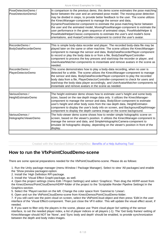| PoseDetectionDemo /<br>PoseDetectionDemo2 | In comparison to the previous demo, this demo scene estimates the pose matching<br>factor between the user and an animated pose model. The moving-pose detection<br>may be divided in steps, to provide better feedback to the user. The scene utilizes<br>the KinectManager-component to manage the sensor and data,<br>DynamicPoseDetector-component to estimate the pose-matching factor between<br>the user and the animated model, MovingPoseManager-component to estimate the<br>user performance in the given sequence of animated steps, PoseModelHelper &<br>PoseModelHelperClassic-components to estimate the user's and model's bone<br>orientations, and AvatarController-component to control the user's avatar. |
|-------------------------------------------|-------------------------------------------------------------------------------------------------------------------------------------------------------------------------------------------------------------------------------------------------------------------------------------------------------------------------------------------------------------------------------------------------------------------------------------------------------------------------------------------------------------------------------------------------------------------------------------------------------------------------------------------------------------------------------------------------------------------------------|
| RecorderDemo /                            | This is simple body-data recorder and player. The recorded body-data file may be                                                                                                                                                                                                                                                                                                                                                                                                                                                                                                                                                                                                                                              |
| BodyDataRecorderDemo                      | played later on the same or other machine. The scene utilizes the KinectManager-<br>component to manage the sensor and data, BodyDataRecorderPlayer-component<br>to record or play the body data to or from a file, BodyDataPlayerController-<br>component to process the key presses and start/stop the recorder or player, and<br>UserAvatarMatcher-components to instantiate and remove avatars in the scene as<br>needed.                                                                                                                                                                                                                                                                                                 |
| RecorderDemo /                            | This scene demonstrates how to play a body-data recording, when no user is                                                                                                                                                                                                                                                                                                                                                                                                                                                                                                                                                                                                                                                    |
| PlayerDetectorDemo                        | detected for a while. The scene utilizes the KinectManager-component to manage<br>the sensor and data, BodyDataRecorderPlayer-component to play the recorded<br>body data from a file, PlayerDetectorController-component to check for users and<br>start/stop the body-data player accordingly, and UserAvatarMatcher-components to<br>instantiate and remove avatars in the scene as needed.                                                                                                                                                                                                                                                                                                                                |
|                                           |                                                                                                                                                                                                                                                                                                                                                                                                                                                                                                                                                                                                                                                                                                                               |
| VariousDemos /<br>HeightEstimatorDemo     | The height estimator demo shows how to estimate user's height and some body<br>sizes, based on the raw depth image data only. It utilizes the KinectManager-<br>component to manage the sensor and data, BodySlicer-component to estimate<br>user's height and other body sizes from the raw depth data, HeightEstimator-<br>component to display the user's body info on screen, and BackgroundDepthImage-<br>component to display the depth camera image on the scene background.                                                                                                                                                                                                                                           |
| VariousDemos /                            | The holo-viewer demo scene shows how to render simple holographic scene on                                                                                                                                                                                                                                                                                                                                                                                                                                                                                                                                                                                                                                                    |
| HolographicViewerDemo                     | screen, based on the viewer's position. It utilizes the KinectManager-component to<br>manage the sensor and data, and SimpleHolographicCamera-component to<br>emulate 3d holographic display, depending on the viewer's position in front of the<br>display.                                                                                                                                                                                                                                                                                                                                                                                                                                                                  |
|                                           |                                                                                                                                                                                                                                                                                                                                                                                                                                                                                                                                                                                                                                                                                                                               |

*Created with the Standard Edition of HelpNDoc: [Benefits of a Help Authoring Tool](https://www.helpauthoringsoftware.com)*

### <span id="page-7-0"></span>**How to run the VfxPointCloudDemo-scene**

There are some special preparations needed for the VfxPointCloudDemo-scene. Please do as follows:

1. Run the Unity package manager (menu Window / Package Manager). Select to view 'All packages' and enable

- the 'Show preview packages -option.
- 2. Install the 'High Definition RP-package.
- 3. Install the 'Visual Effect Graph-package, as well.

4. Open the project settings (menu Edit / Project Settings) and select 'Graphics. Then drag the HDRP-asset from the KinectDemos/PointCloudDemo/HDRP-folder of the project to the 'Scriptable Render Pipeline Settings' in the Graphics-section.

5. Select the 'Player-section on the left. Change the color space from 'Gamma' to 'Linear.

6. Open and run the VfxPointCloudDemo-scene from KinectDemos/PointCloudDemo-folder.

7. If you still can t see the point cloud on screen, select the VfxPointCloud-object and then press 'Edit in the user interface of the 'Visual Effect-component. Then just close the VFX editor. This will update the visual effect asset, if needed.

8. If you want to filter only the players in the scene, please use 'Point cloud player list'-setting of the sensor interface, to set the needed player index, a list of player indices or all players (-1). The 'Get body frames'-setting of KinectManager should NOT be 'None', and 'Sync body and depth' should be enabled, to provide synchronization between the depth and body index images.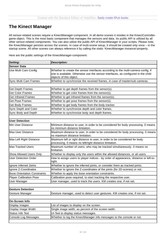# <span id="page-8-0"></span>**The Kinect Manager**

All sensor-related scenes require a KinectManager-component. In all demo scenes it resides in the KinectControllergame object. This is the most basic component that manages the sensors and data. Its public API is utilized by all other sensor-related components. You can also utilize the public API of KinectManager in your scripts. Please note, the KinectManager persists across the scenes. In case of multi-scene setup, it should be created only once – in the startup scene. All other scenes can always reference it by calling the static 'KinectManager.Instance'-property.

Here are the public settings of the KinectManager-component:

| Setting:                            | <b>Description:</b>                                                                                                                                                                              |
|-------------------------------------|--------------------------------------------------------------------------------------------------------------------------------------------------------------------------------------------------|
| <b>Sensor Data</b>                  |                                                                                                                                                                                                  |
| Use Multi Cam Config                | Whether to create the sensor interfaces according to the multi-camera config, if<br>one is available. Otherwise use the sensor interfaces, as configured in the child<br>objects of this object. |
| Sync Multi Cam Frames               | Whether to synchronize the received frames, in case of master/sub cameras.                                                                                                                       |
|                                     |                                                                                                                                                                                                  |
| <b>Get Depth Frames</b>             | Whether to get depth frames from the sensor(s).                                                                                                                                                  |
| <b>Get Color Frames</b>             | Whether to get color frames from the sensor(s).                                                                                                                                                  |
| <b>Get Infrared Frames</b>          | Whether to get infrared frames from the sensor(s).                                                                                                                                               |
| <b>Get Pose Frames</b>              | Whether to get pose frames from the sensor(s).                                                                                                                                                   |
| <b>Get Body Frames</b>              | Whether to get body frames from the body tracker.                                                                                                                                                |
| Sync Depth and Color                | Whether to synchronize depth and color frames.                                                                                                                                                   |
| Sync Body and Depth                 | Whether to synchronize body and depth frames.                                                                                                                                                    |
| <b>User Detection</b>               |                                                                                                                                                                                                  |
| Min User Distance                   | Minimum distance to user, in order to be considered for body processing. 0 means                                                                                                                 |
|                                     | no minimum distance limitation.                                                                                                                                                                  |
| Max User Distance                   | Maximum distance to user, in order to be considered for body processing. 0 means<br>no maximum distance limitation.                                                                              |
| Max Left Right Distance             | Maximum left or right distance to user, in order to be considered for body<br>processing. 0 means no left/right distance limitation.                                                             |
| Max Tracked Users                   | Maximum number of users, who may be tracked simultaneously. 0 means no<br>limitation.                                                                                                            |
| Show Allowed Users Only             | Whether to display only the users within the allowed distances, or all users.                                                                                                                    |
| <b>User Detection Order</b>         | How to assign users to player indices - by order of appearance, distance or left-to-<br>right.                                                                                                   |
| Ignore Inferred Joints              | Whether to ignore the inferred joints, or consider them as tracked joints.                                                                                                                       |
| Ignore Z-Coordinates                | Whether to ignore the Z-coordinates of the joints (for 2D-scenes) or not.                                                                                                                        |
| <b>Bone Orientation Constraints</b> | Whether to apply the bone orientation constraints.                                                                                                                                               |
| <b>Player Calibration Pose</b>      | Calibration pose required, to start tracking the respective user.                                                                                                                                |
| User Manager                        | User manager, used to track the users. KM creates one, if not set.                                                                                                                               |
|                                     |                                                                                                                                                                                                  |
| <b>Gesture Detection</b>            |                                                                                                                                                                                                  |
| Gesture Manager                     | Gesture manager, used to detect user gestures. KM creates one, if not set.                                                                                                                       |
| On-Screen Info                      |                                                                                                                                                                                                  |
| Display Images                      | List of images to display on the screen.                                                                                                                                                         |
| Display Image Width                 | Single image width, as percent of the screen width.                                                                                                                                              |
| Status Info Text                    | UI-Text to display status messages.                                                                                                                                                              |
| <b>Console Log Messages</b>         | Whether to log the KinectManager info messages to the console or not.                                                                                                                            |
|                                     |                                                                                                                                                                                                  |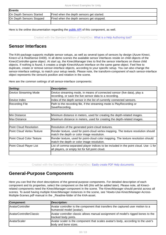| Events                   |                                           |
|--------------------------|-------------------------------------------|
| On Depth Sensors Started | Fired when the depth sensors get started. |
| On Depth Sensors Stopped | Fired when the depth sensors get stopped. |
|                          |                                           |

Here is the online documentation regarding the [public API](https://ratemt.com/k4agapi/classcom_1_1rfilkov_1_1kinect_1_1_kinect_manager.html) of this component, as well.

*Created with the Standard Edition of HelpNDoc: [What is a Help Authoring tool?](https://www.helpauthoringsoftware.com)*

# <span id="page-9-0"></span>**Sensor Interfaces**

The K4A-package supports multiple sensor setups, as well as several types of sensors by design (Azure Kinect, Kinect-v2 & RealSense D400). In all demo scenes the available sensor interfaces reside on child objects of the KinectController-game object. At start up, the KinectManager tries to find the sensor interfaces on these child objects. If nothing is found, it creates a single Kinect4Azure interface on the same game object. Feel free to duplicate, create or remove sensor-interface objects, according to your specific setup. You can also change the sensor-interface settings, to match your setup needs. Please note, the transform-component of each sensor-interface object represents the sensor's position and rotation in the scene.

Here are the common settings of all sensor-interface components:

| Setting:                   | <b>Description:</b>                                                                                                                      |
|----------------------------|------------------------------------------------------------------------------------------------------------------------------------------|
| Device Streaming Mode      | Device streaming mode, in means of connected sensor (live data), play a<br>recording, or save the live sensor data to a recording.       |
| lDevice Index              | Index of the depth sensor in the list of currently connected sensors.                                                                    |
| Recording File             | Path to the recording file, if the streaming mode is PlayRecording or<br>SaveRecording.                                                  |
|                            |                                                                                                                                          |
| Min Distance               | Minimum distance in meters, used for creating the depth-related images.                                                                  |
| lMax Distance              | Maximum distance in meters, used for creating the depth-related images.                                                                  |
|                            |                                                                                                                                          |
| Point Cloud Resolution     | Resolution of the generated point-cloud textures.                                                                                        |
| Point Cloud Vertex Texture | Render texture, used for point-cloud vertex mapping. The texture resolution should<br>match the depth or color image resolution.         |
| Point Cloud Color Texture  | Render texture, used for point-cloud color mapping. The texture resolution should<br>match the depth or color image resolution.          |
| Point Cloud Player List    | List of comma-separated player indices to be included in the point cloud. Use -1 for<br>all players, or empty list for full point cloud. |
|                            |                                                                                                                                          |

*Created with the Standard Edition of HelpNDoc: [Easily create PDF Help documents](https://www.helpndoc.com/feature-tour)*

### <span id="page-9-1"></span>**General-Purpose Components**

Here you can find the short descriptions of the general-purpose components. For detailed description of each component and its properties, select the component on the left (*this will be added later*). Please note, all Kinectrelated components need the KinectManager-component in the scene. The KinectManager should persist across all scenes. To avoid having multiple KinectManager instances in the scene, see 'Howto-Use-KinectManager-Across-Multiple-Scenes.pdf'-manual in the \_Readme-folder of the K4A-asset.

| Component:              | <b>Description:</b>                                                                                         |
|-------------------------|-------------------------------------------------------------------------------------------------------------|
| <b>AvatarController</b> | Avatar controller is the component that transfers the captured user motion to a<br>humanoid model (avatar). |
| AvatarControllerClassic | Avatar controller classic allows manual assignment of model's rigged bones to the<br>tracked body joints.   |
| AvatarScaler            | Avatar scaler is the component that scales avatar's body, according to the user's<br>body and bone sizes.   |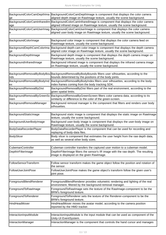┓

H

Г

| BackgroundColorCamDepthIma<br>∣ge | BackgroundColorCamDepthImage is component that displays the color camera<br>aligned depth image on Rawlmage texture, usually the scene background.                                    |
|-----------------------------------|---------------------------------------------------------------------------------------------------------------------------------------------------------------------------------------|
| ∣age                              | BackgroundColorCamInfraredIm BackgroundColorCamInfraredImage is component that displays the color camera<br>aligned infrared image on Rawlmage texture, usually the scene background. |
| BackgroundColorCamUserImag        | BackgroundColorCamUserImage is component that displays the color camera<br>aligned user-body image on Rawlmage texture, usually the scene background.                                 |
| BackgroundColorImage              | Background color image is component that displays the color camera feed on<br>Rawlmage texture, usually the scene background.                                                         |
| BackgroundDepthCamColorIma<br>∣ge | Background depth-cam color image is component that displays the depth camera<br>aligned color image on Rawlmage texture, usually the scene background.                                |
| BackgroundDepthImage              | Background depth image is component that displays the depth camera image on<br>Rawlmage texture, usually the scene background.                                                        |
| BackgroundInfraredImage           | Background infrared image is component that displays the infrared camera image<br>on Rawlmage texture, usually the scene background.                                                  |
|                                   |                                                                                                                                                                                       |
| Inds                              | BackgroundRemovalByBodyBou BackgroundRemovalByBodyBounds filters user silhouettes, according to the<br>bounds determined by the positions of the body joints.                         |
| BackgroundRemovalByBodyInd<br>ex  | BackgroundRemovalByBodyIndex filters user silhouettes, according to the body<br>index frames coming from the body tracking SDK.                                                       |
| BackgroundRemovalByDist           | BackgroundRemovalByDist filters part of the real environment, according to the<br>given spatial limits.                                                                               |
| reen                              | BackgroundRemovalByGreenSc BackgroundRemovalByGreenScreen filters color camera data, according to its<br>similarity or difference to the color of the green-screen.                   |
| BackgroundRemovalManager          | Background removal manager is the component that filters and renders user body<br>silhouettes.                                                                                        |
|                                   |                                                                                                                                                                                       |
| BackgroundStaticImage             | Background static image is component that displays the static image on Rawlmage<br>texture, usually the scene background.                                                             |
| BackgroundUserBodyImage           | Background user-body image is component that displays the user-body image on<br>Rawlmage texture, usually the scene background.                                                       |
| BodyDataRecorderPlayer            | BodyDataRecorderPlayer is the component that can be used for recording and<br>replaying of body-data files.                                                                           |
| BodySlicer                        | Body slicer is component that estimates the user height from the raw depth data,<br>as well as several other body sizes.                                                              |
|                                   |                                                                                                                                                                                       |
| CubemanController                 | Cubeman controller transfers the captured user motion to a cubeman model.                                                                                                             |
| DepthIrFilterImage                | DepthIrFilterImage filters the sensor's IR image with the raw depth. The resulting<br>image is displayed on the given Rawlmage.                                                       |
|                                   |                                                                                                                                                                                       |
| FollowSensorTransform             | Follow sensor transform makes the game object follow the position and rotation of<br>the sensor.                                                                                      |
| FollowUserJointPose               | FollowUserJointPose makes the game object's transform follow the given user's<br>joint pose.                                                                                          |
|                                   |                                                                                                                                                                                       |
| ForegroundBlendRenderer           | ForegroundBlendRenderer provides volumetric rendering and lighting of the real<br>environment, filtered by the background-removal manager.                                            |
| ForegroundToRawImage              | Foreground To Rawlmage sets the texture of the Rawlmage-component to be the<br>BRM's foreground texture.                                                                              |
| ForegroundToRenderer              | ForegroundToRenderer sets the texture of the Renderer-component to be the<br>BRM's foreground texture.                                                                                |
| HmdHeadMover                      | HmdHeadMover moves the avatar model, according to the camera position<br>reported by the HMD tracker.                                                                                 |
|                                   |                                                                                                                                                                                       |
| InteractionInputModule            | InteractionInputModule is the input module that can be used as component of the<br>Unity-UI EventSystem.                                                                              |
| InteractionManager                | InteractionManager is the component that controls the hand cursor and manages                                                                                                         |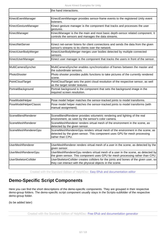|                             | the hand interactions.                                                                                                                                                         |
|-----------------------------|--------------------------------------------------------------------------------------------------------------------------------------------------------------------------------|
|                             |                                                                                                                                                                                |
| KinectEventManager          | KinectEventManager provides sensor-frame events to the registered Unity event<br>listeners.                                                                                    |
| KinectGestureManager        | Kinect gesture manager is the component that tracks and processes the user<br>gestures.                                                                                        |
| KinectManager               | KinectManager is the the main and most basic depth-sensor related component. It<br>controls the sensors and manages the data streams.                                          |
| KinectNetServer             | Kinect net-server listens for client connections and sends the data from the given<br>sensor's streams to its clients over the network.                                        |
| KinectUserBodyMerger        | KinectUserBodyMerger merges user bodies detected by multiple connected<br>sensors.                                                                                             |
| KinectUserManager           | Kinect user manager is the component that tracks the users in front of the sensor.                                                                                             |
| MultiCameraSyncher          | MultiCameraSyncher enables synchronization of frames between the master and<br>the subordinate sensors.                                                                        |
| PhotoShooter                | Photo shooter provides public functions to take pictures of the currently rendered<br>scene.                                                                                   |
| PointCloudTarget            | PointCloudTarget sets the point cloud resolution of the respective sensor, as well<br>as the target render textures.                                                           |
| PortraitBackground          | Portrait background is the component that sets the background image in the<br>required screen resolution.                                                                      |
| PoseModelHelper             | Pose model helper matches the sensor-tracked joints to model transforms.                                                                                                       |
| PoseModelHelperClassic      | Pose model helper matches the sensor-tracked joints to model transforms (with<br>manual assignment).                                                                           |
|                             |                                                                                                                                                                                |
| SceneBlendRenderer          | SceneBlendRenderer provides volumetric rendering and lighting of the real<br>environment, as seen by the sensor's color camera.                                                |
| SceneMeshRenderer           | SceneMeshRenderer renders virtual mesh of the environment in the scene, as<br>detected by the given sensor.                                                                    |
| SceneMeshRendererGpu        | SceneMeshRendererGpu renders virtual mesh of the environment in the scene, as<br>detected by the given sensor. This component uses GPU for mesh processing<br>rather than CPU. |
|                             |                                                                                                                                                                                |
| <b>UserMeshRenderer</b>     | UserMeshRenderer renders virtual mesh of a user in the scene, as detected by the<br>given sensor.                                                                              |
| <b>UserMeshRendererGpu</b>  | UserMeshRendererGpu renders virtual mesh of a user in the scene, as detected by<br>the given sensor. This component uses GPU for mesh processing rather than CPU.              |
| <b>UserSkeletonCollider</b> | UserSkeletonCollider creates colliders for the joints and bones of the given user, so<br>they can interact with the physical objects in the scene.                             |
|                             |                                                                                                                                                                                |

*Created with the Standard Edition of HelpNDoc: [Easy EPub and documentation editor](https://www.helpndoc.com)*

# <span id="page-11-0"></span>**Demo-Specific Script Components**

Here you can find the short descriptions of the demo-specific components. They are grouped in their respective demo-group folders. The demo-specific script component usually stays in the Scripts-subfolder of the respective demo-group folder.

<span id="page-11-1"></span>(to be added later)

*Created with the Standard Edition of HelpNDoc: [Free EPub and documentation generator](https://www.helpndoc.com)*